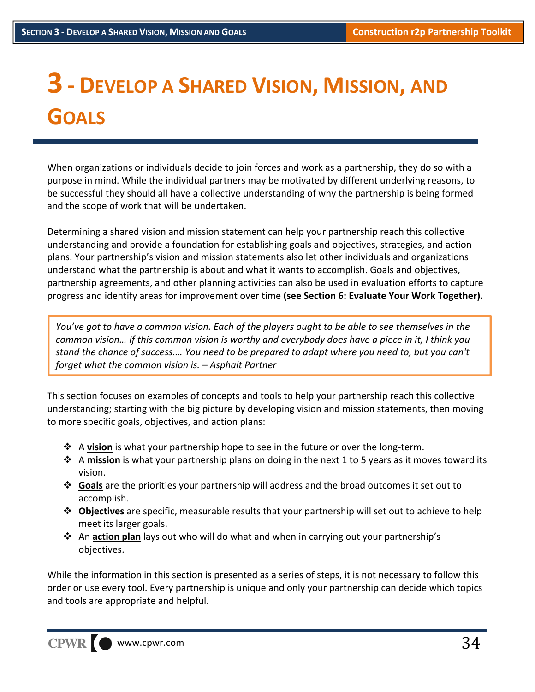# **3 ‐ DEVELOP <sup>A</sup> SHARED VISION, MISSION, AND GOALS**

When organizations or individuals decide to join forces and work as a partnership, they do so with a purpose in mind. While the individual partners may be motivated by different underlying reasons, to be successful they should all have a collective understanding of why the partnership is being formed and the scope of work that will be undertaken.

Determining a shared vision and mission statement can help your partnership reach this collective understanding and provide a foundation for establishing goals and objectives, strategies, and action plans. Your partnership's vision and mission statements also let other individuals and organizations understand what the partnership is about and what it wants to accomplish. Goals and objectives, partnership agreements, and other planning activities can also be used in evaluation efforts to capture progress and identify areas for improvement over time **(see Section 6: Evaluate Your Work Together).**

You've got to have a common vision. Each of the players ought to be able to see themselves in the common vision... If this common vision is worthy and everybody does have a piece in it, I think you stand the chance of success.... You need to be prepared to adapt where you need to, but you can't *forget what the common vision is. – Asphalt Partner*

This section focuses on examples of concepts and tools to help your partnership reach this collective understanding; starting with the big picture by developing vision and mission statements, then moving to more specific goals, objectives, and action plans:

- A **vision** is what your partnership hope to see in the future or over the long‐term.
- A **mission** is what your partnership plans on doing in the next 1 to 5 years as it moves toward its vision.
- **Goals** are the priorities your partnership will address and the broad outcomes it set out to accomplish.
- **Objectives** are specific, measurable results that your partnership will set out to achieve to help meet its larger goals.
- An **action plan** lays out who will do what and when in carrying out your partnership's objectives.

While the information in this section is presented as a series of steps, it is not necessary to follow this order or use every tool. Every partnership is unique and only your partnership can decide which topics and tools are appropriate and helpful.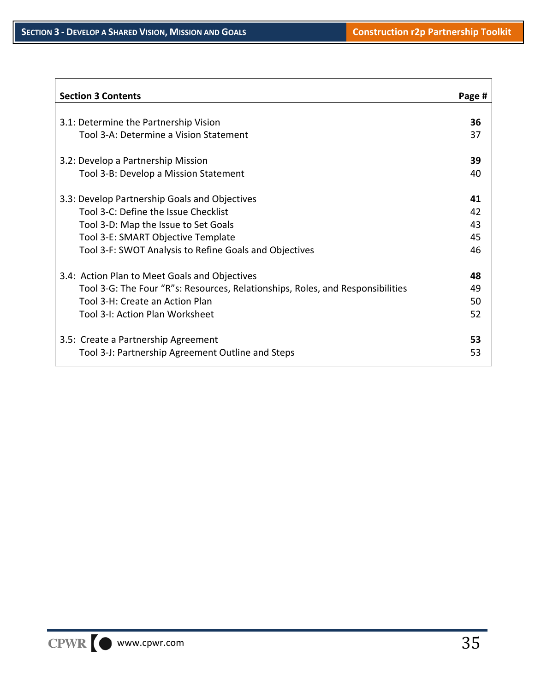| <b>Section 3 Contents</b>                                                      | Page # |
|--------------------------------------------------------------------------------|--------|
|                                                                                |        |
| 3.1: Determine the Partnership Vision                                          | 36     |
| Tool 3-A: Determine a Vision Statement                                         | 37     |
| 3.2: Develop a Partnership Mission                                             | 39     |
| Tool 3-B: Develop a Mission Statement                                          | 40     |
| 3.3: Develop Partnership Goals and Objectives                                  | 41     |
| Tool 3-C: Define the Issue Checklist                                           | 42     |
| Tool 3-D: Map the Issue to Set Goals                                           | 43     |
| Tool 3-E: SMART Objective Template                                             | 45     |
| Tool 3-F: SWOT Analysis to Refine Goals and Objectives                         | 46     |
| 3.4: Action Plan to Meet Goals and Objectives                                  | 48     |
| Tool 3-G: The Four "R"s: Resources, Relationships, Roles, and Responsibilities | 49     |
| Tool 3-H: Create an Action Plan                                                | 50     |
| Tool 3-I: Action Plan Worksheet                                                | 52     |
| 3.5: Create a Partnership Agreement                                            | 53     |
| Tool 3-J: Partnership Agreement Outline and Steps                              | 53     |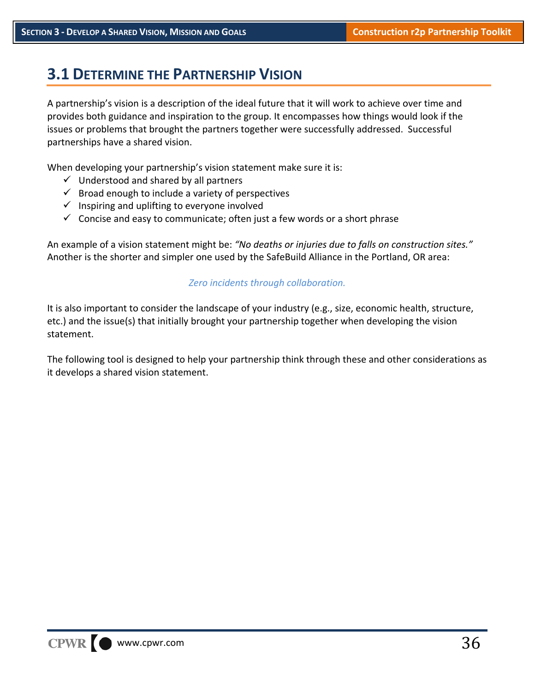### **3.1 DETERMINE THE PARTNERSHIP VISION**

A partnership's vision is a description of the ideal future that it will work to achieve over time and provides both guidance and inspiration to the group. It encompasses how things would look if the issues or problems that brought the partners together were successfully addressed. Successful partnerships have a shared vision.

When developing your partnership's vision statement make sure it is:

- $\checkmark$  Understood and shared by all partners
- $\checkmark$  Broad enough to include a variety of perspectives
- $\checkmark$  Inspiring and uplifting to everyone involved
- $\checkmark$  Concise and easy to communicate; often just a few words or a short phrase

An example of a vision statement might be: *"No deaths or injuries due to falls on construction sites."* Another is the shorter and simpler one used by the SafeBuild Alliance in the Portland, OR area:

#### *Zero incidents through collaboration.*

It is also important to consider the landscape of your industry (e.g., size, economic health, structure, etc.) and the issue(s) that initially brought your partnership together when developing the vision statement.

The following tool is designed to help your partnership think through these and other considerations as it develops a shared vision statement.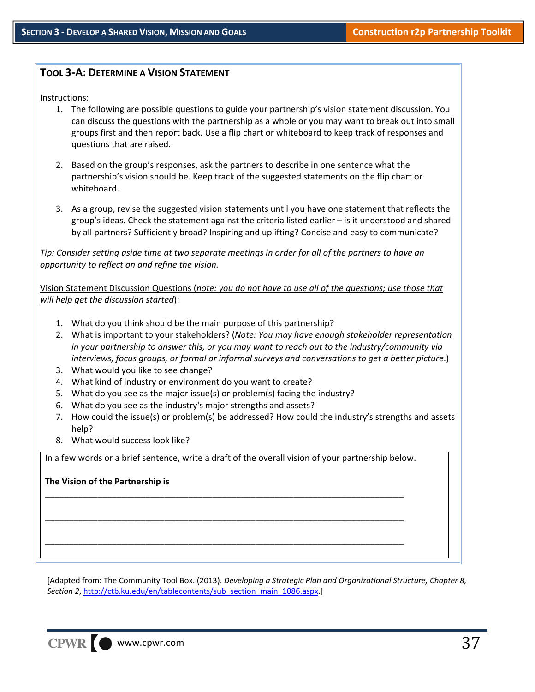#### **TOOL 3‐A: DETERMINE A VISION STATEMENT**

Instructions:

- 1. The following are possible questions to guide your partnership's vision statement discussion. You can discuss the questions with the partnership as a whole or you may want to break out into small groups first and then report back. Use a flip chart or whiteboard to keep track of responses and questions that are raised.
- 2. Based on the group's responses, ask the partners to describe in one sentence what the partnership's vision should be. Keep track of the suggested statements on the flip chart or whiteboard.
- 3. As a group, revise the suggested vision statements until you have one statement that reflects the group's ideas. Check the statement against the criteria listed earlier – is it understood and shared by all partners? Sufficiently broad? Inspiring and uplifting? Concise and easy to communicate?

Tip: Consider setting aside time at two separate meetings in order for all of the partners to have an *opportunity to reflect on and refine the vision.*

Vision Statement Discussion Questions (*note: you do not have to use all of the questions; use those that will help get the discussion started*):

- 1. What do you think should be the main purpose of this partnership?
- 2. What is important to your stakeholders? (*Note: You may have enough stakeholder representation in your partnership to answer this, or you may want to reach out to the industry/community via interviews, focus groups, or formal or informal surveys and conversations to get a better picture*.)
- 3. What would you like to see change?
- 4. What kind of industry or environment do you want to create?
- 5. What do you see as the major issue(s) or problem(s) facing the industry?
- 6. What do you see as the industry's major strengths and assets?
- 7. How could the issue(s) or problem(s) be addressed? How could the industry's strengths and assets help?
- 8. What would success look like?

In a few words or a brief sentence, write a draft of the overall vision of your partnership below.

\_\_\_\_\_\_\_\_\_\_\_\_\_\_\_\_\_\_\_\_\_\_\_\_\_\_\_\_\_\_\_\_\_\_\_\_\_\_\_\_\_\_\_\_\_\_\_\_\_\_\_\_\_\_\_\_\_\_\_\_\_\_\_\_\_\_\_\_\_\_\_\_\_\_\_

\_\_\_\_\_\_\_\_\_\_\_\_\_\_\_\_\_\_\_\_\_\_\_\_\_\_\_\_\_\_\_\_\_\_\_\_\_\_\_\_\_\_\_\_\_\_\_\_\_\_\_\_\_\_\_\_\_\_\_\_\_\_\_\_\_\_\_\_\_\_\_\_\_\_\_

\_\_\_\_\_\_\_\_\_\_\_\_\_\_\_\_\_\_\_\_\_\_\_\_\_\_\_\_\_\_\_\_\_\_\_\_\_\_\_\_\_\_\_\_\_\_\_\_\_\_\_\_\_\_\_\_\_\_\_\_\_\_\_\_\_\_\_\_\_\_\_\_\_\_\_

#### **The Vision of the Partnership is**

[Adapted from: The Community Tool Box. (2013). *Developing a Strategic Plan and Organizational Structure, Chapter 8, Section 2*, http://ctb.ku.edu/en/tablecontents/sub\_section\_main\_1086.aspx.]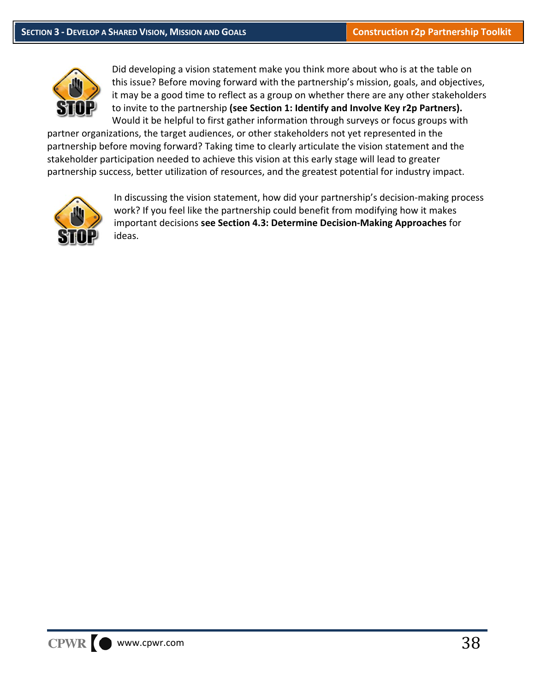

Did developing a vision statement make you think more about who is at the table on this issue? Before moving forward with the partnership's mission, goals, and objectives, it may be a good time to reflect as a group on whether there are any other stakeholders to invite to the partnership **(see Section 1: Identify and Involve Key r2p Partners).** Would it be helpful to first gather information through surveys or focus groups with

partner organizations, the target audiences, or other stakeholders not yet represented in the partnership before moving forward? Taking time to clearly articulate the vision statement and the stakeholder participation needed to achieve this vision at this early stage will lead to greater partnership success, better utilization of resources, and the greatest potential for industry impact.



In discussing the vision statement, how did your partnership's decision-making process work? If you feel like the partnership could benefit from modifying how it makes important decisions **see Section 4.3: Determine Decision‐Making Approaches** for ideas.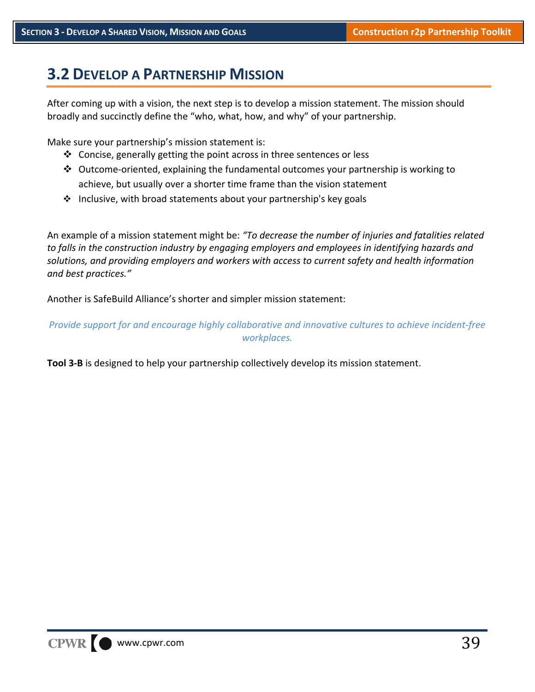### **3.2 DEVELOP A PARTNERSHIP MISSION**

After coming up with a vision, the next step is to develop a mission statement. The mission should broadly and succinctly define the "who, what, how, and why" of your partnership.

Make sure your partnership's mission statement is:

- $\triangleleft$  Concise, generally getting the point across in three sentences or less
- ◆ Outcome-oriented, explaining the fundamental outcomes your partnership is working to achieve, but usually over a shorter time frame than the vision statement
- $\cdot$  Inclusive, with broad statements about your partnership's key goals

An example of a mission statement might be: *"To decrease the number of injuries and fatalities related to falls in the construction industry by engaging employers and employees in identifying hazards and solutions, and providing employers and workers with access to current safety and health information and best practices."*

Another is SafeBuild Alliance's shorter and simpler mission statement:

*Provide support for and encourage highly collaborative and innovative cultures to achieve incident‐free workplaces.*

**Tool 3‐B** is designed to help your partnership collectively develop its mission statement.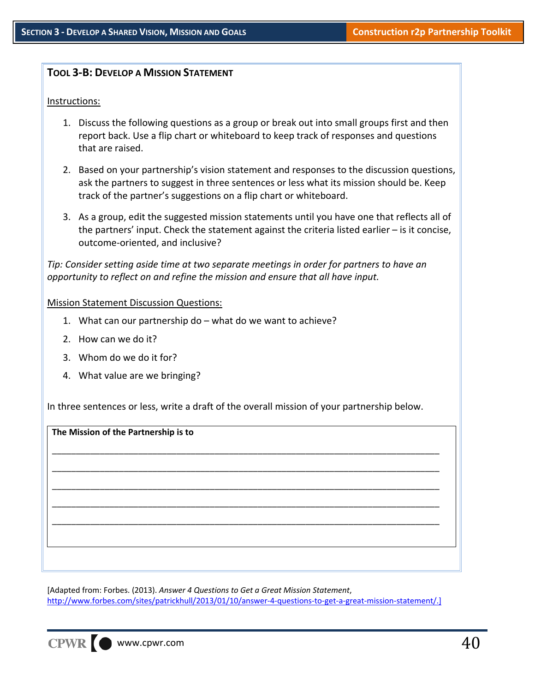#### **TOOL 3‐B: DEVELOP A MISSION STATEMENT**

#### Instructions:

- 1. Discuss the following questions as a group or break out into small groups first and then report back. Use a flip chart or whiteboard to keep track of responses and questions that are raised.
- 2. Based on your partnership's vision statement and responses to the discussion questions, ask the partners to suggest in three sentences or less what its mission should be. Keep track of the partner's suggestions on a flip chart or whiteboard.
- 3. As a group, edit the suggested mission statements until you have one that reflects all of the partners' input. Check the statement against the criteria listed earlier – is it concise, outcome‐oriented, and inclusive?

*Tip: Consider setting aside time at two separate meetings in order for partners to have an opportunity to reflect on and refine the mission and ensure that all have input.*

#### Mission Statement Discussion Questions:

- 1. What can our partnership do what do we want to achieve?
- 2. How can we do it?
- 3. Whom do we do it for?
- 4. What value are we bringing?

In three sentences or less, write a draft of the overall mission of your partnership below.

**The Mission of the Partnership is to** \_\_\_\_\_\_\_\_\_\_\_\_\_\_\_\_\_\_\_\_\_\_\_\_\_\_\_\_\_\_\_\_\_\_\_\_\_\_\_\_\_\_\_\_\_\_\_\_\_\_\_\_\_\_\_\_\_\_\_\_\_\_\_\_\_\_\_\_\_\_\_\_\_\_\_\_\_\_\_\_\_ \_\_\_\_\_\_\_\_\_\_\_\_\_\_\_\_\_\_\_\_\_\_\_\_\_\_\_\_\_\_\_\_\_\_\_\_\_\_\_\_\_\_\_\_\_\_\_\_\_\_\_\_\_\_\_\_\_\_\_\_\_\_\_\_\_\_\_\_\_\_\_\_\_\_\_\_\_\_\_\_\_ \_\_\_\_\_\_\_\_\_\_\_\_\_\_\_\_\_\_\_\_\_\_\_\_\_\_\_\_\_\_\_\_\_\_\_\_\_\_\_\_\_\_\_\_\_\_\_\_\_\_\_\_\_\_\_\_\_\_\_\_\_\_\_\_\_\_\_\_\_\_\_\_\_\_\_\_\_\_\_\_\_ \_\_\_\_\_\_\_\_\_\_\_\_\_\_\_\_\_\_\_\_\_\_\_\_\_\_\_\_\_\_\_\_\_\_\_\_\_\_\_\_\_\_\_\_\_\_\_\_\_\_\_\_\_\_\_\_\_\_\_\_\_\_\_\_\_\_\_\_\_\_\_\_\_\_\_\_\_\_\_\_\_ \_\_\_\_\_\_\_\_\_\_\_\_\_\_\_\_\_\_\_\_\_\_\_\_\_\_\_\_\_\_\_\_\_\_\_\_\_\_\_\_\_\_\_\_\_\_\_\_\_\_\_\_\_\_\_\_\_\_\_\_\_\_\_\_\_\_\_\_\_\_\_\_\_\_\_\_\_\_\_\_\_

[Adapted from: Forbes. (2013). *Answer 4 Questions to Get a Great Mission Statement*, http://www.forbes.com/sites/patrickhull/2013/01/10/answer-4-questions-to-get-a-great-mission-statement/.]

CPWR www.cpwr.com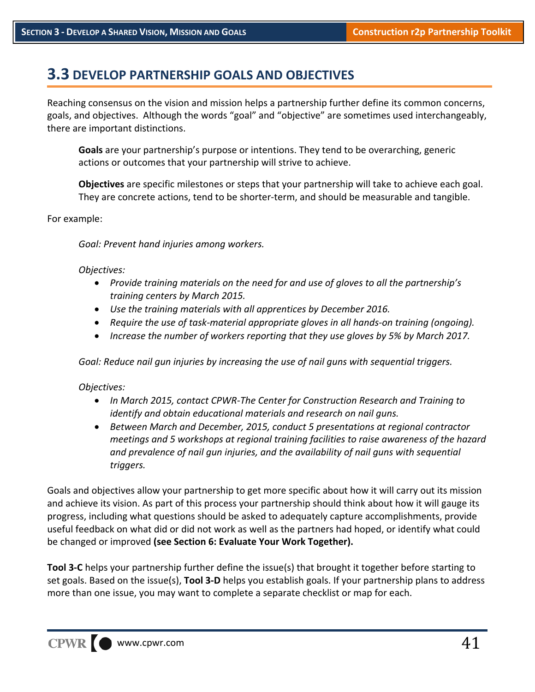### **3.3 DEVELOP PARTNERSHIP GOALS AND OBJECTIVES**

Reaching consensus on the vision and mission helps a partnership further define its common concerns, goals, and objectives. Although the words "goal" and "objective" are sometimes used interchangeably, there are important distinctions.

**Goals** are your partnership's purpose or intentions. They tend to be overarching, generic actions or outcomes that your partnership will strive to achieve.

**Objectives** are specific milestones or steps that your partnership will take to achieve each goal. They are concrete actions, tend to be shorter-term, and should be measurable and tangible.

For example:

*Goal: Prevent hand injuries among workers.*

#### *Objectives:*

- *Provide training materials on the need for and use of gloves to all the partnership's training centers by March 2015.*
- *Use the training materials with all apprentices by December 2016.*
- *Require the use of task‐material appropriate gloves in all hands‐on training (ongoing).*
- *Increase the number of workers reporting that they use gloves by 5% by March 2017.*

*Goal: Reduce nail gun injuries by increasing the use of nail guns with sequential triggers.*

#### *Objectives:*

- *In March 2015, contact CPWR‐The Center for Construction Research and Training to identify and obtain educational materials and research on nail guns.*
- *Between March and December, 2015, conduct 5 presentations at regional contractor meetings and 5 workshops at regional training facilities to raise awareness of the hazard and prevalence of nail gun injuries, and the availability of nail guns with sequential triggers.*

Goals and objectives allow your partnership to get more specific about how it will carry out its mission and achieve its vision. As part of this process your partnership should think about how it will gauge its progress, including what questions should be asked to adequately capture accomplishments, provide useful feedback on what did or did not work as well as the partners had hoped, or identify what could be changed or improved **(see Section 6: Evaluate Your Work Together).**

**Tool 3‐C** helps your partnership further define the issue(s) that brought it together before starting to set goals. Based on the issue(s), **Tool 3‐D** helps you establish goals. If your partnership plans to address more than one issue, you may want to complete a separate checklist or map for each.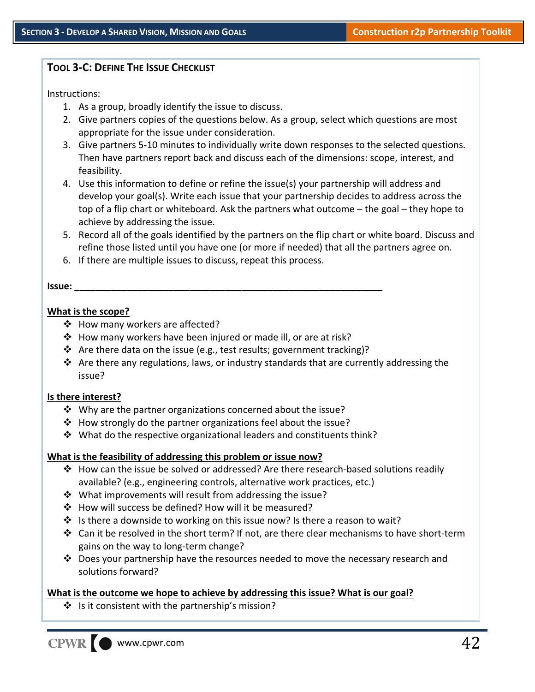#### **TOOL 3‐C: DEFINE THE ISSUE CHECKLIST**

#### Instructions:

- 1. As a group, broadly identify the issue to discuss.
- 2. Give partners copies of the questions below. As a group, select which questions are most appropriate for the issue under consideration.
- 3. Give partners 5‐10 minutes to individually write down responses to the selected questions. Then have partners report back and discuss each of the dimensions: scope, interest, and feasibility.
- 4. Use this information to define or refine the issue(s) your partnership will address and develop your goal(s). Write each issue that your partnership decides to address across the top of a flip chart or whiteboard. Ask the partners what outcome – the goal – they hope to achieve by addressing the issue.
- 5. Record all of the goals identified by the partners on the flip chart or white board. Discuss and refine those listed until you have one (or more if needed) that all the partners agree on.
- 6. If there are multiple issues to discuss, repeat this process.

#### **Issue: \_\_\_\_\_\_\_\_\_\_\_\_\_\_\_\_\_\_\_\_\_\_\_\_\_\_\_\_\_\_\_\_\_\_\_\_\_\_\_\_\_\_\_\_\_\_\_\_\_\_\_\_\_\_\_\_\_\_\_**

#### **What is the scope?**

- ❖ How many workers are affected?
- How many workers have been injured or made ill, or are at risk?
- **↑** Are there data on the issue (e.g., test results; government tracking)?
- $\clubsuit$  Are there any regulations, laws, or industry standards that are currently addressing the issue?

#### **Is there interest?**

- $\mathbf{\hat{P}}$  Why are the partner organizations concerned about the issue?
- How strongly do the partner organizations feel about the issue?
- $\cdot$  What do the respective organizational leaders and constituents think?

#### **What is the feasibility of addressing this problem or issue now?**

- How can the issue be solved or addressed? Are there research‐based solutions readily available? (e.g., engineering controls, alternative work practices, etc.)
- ❖ What improvements will result from addressing the issue?
- ❖ How will success be defined? How will it be measured?
- $\cdot \cdot$  Is there a downside to working on this issue now? Is there a reason to wait?
- Can it be resolved in the short term? If not, are there clear mechanisms to have short‐term gains on the way to long‐term change?
- $\cdot \cdot$  Does your partnership have the resources needed to move the necessary research and solutions forward?

#### **What is the outcome we hope to achieve by addressing this issue? What is our goal?**

 $\cdot$  Is it consistent with the partnership's mission?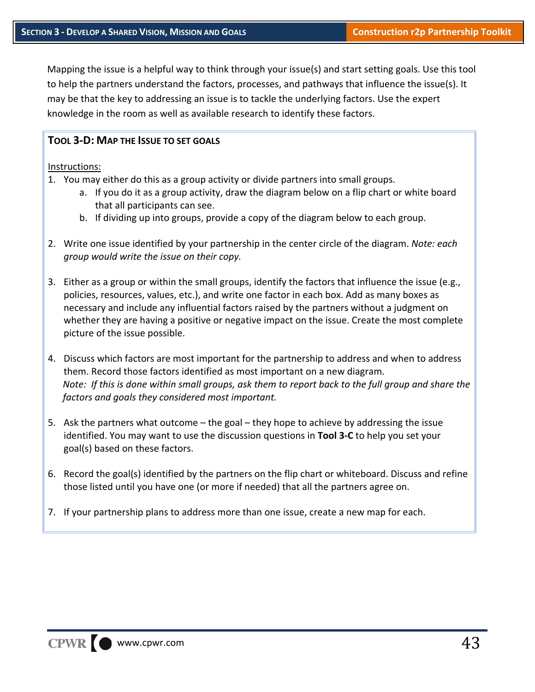Mapping the issue is a helpful way to think through your issue(s) and start setting goals. Use this tool to help the partners understand the factors, processes, and pathways that influence the issue(s). It may be that the key to addressing an issue is to tackle the underlying factors. Use the expert knowledge in the room as well as available research to identify these factors.

#### **TOOL 3‐D: MAP THE ISSUE TO SET GOALS**

#### Instructions:

- 1. You may either do this as a group activity or divide partners into small groups.
	- a. If you do it as a group activity, draw the diagram below on a flip chart or white board that all participants can see.
	- b. If dividing up into groups, provide a copy of the diagram below to each group.
- 2. Write one issue identified by your partnership in the center circle of the diagram. *Note: each group would write the issue on their copy.*
- 3. Either as a group or within the small groups, identify the factors that influence the issue (e.g., policies, resources, values, etc.), and write one factor in each box. Add as many boxes as necessary and include any influential factors raised by the partners without a judgment on whether they are having a positive or negative impact on the issue. Create the most complete picture of the issue possible.
- 4. Discuss which factors are most important for the partnership to address and when to address them. Record those factors identified as most important on a new diagram. Note: If this is done within small groups, ask them to report back to the full group and share the *factors and goals they considered most important.*
- 5. Ask the partners what outcome the goal they hope to achieve by addressing the issue identified. You may want to use the discussion questions in **Tool 3‐C** to help you set your goal(s) based on these factors.
- 6. Record the goal(s) identified by the partners on the flip chart or whiteboard. Discuss and refine those listed until you have one (or more if needed) that all the partners agree on.
- 7. If your partnership plans to address more than one issue, create a new map for each.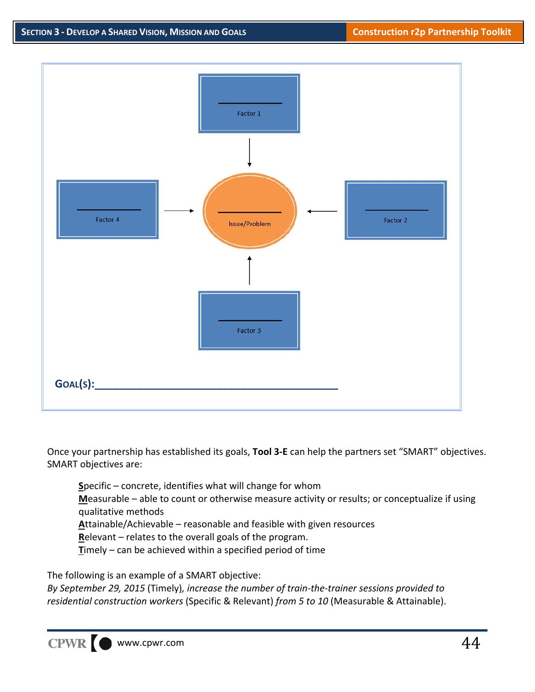

Once your partnership has established its goals, **Tool 3‐E** can help the partners set "SMART" objectives. SMART objectives are:

**S**pecific – concrete, identifies what will change for whom **M**easurable – able to count or otherwise measure activity or results; or conceptualize if using qualitative methods **A**ttainable/Achievable – reasonable and feasible with given resources

**R**elevant – relates to the overall goals of the program.

**T**imely – can be achieved within a specified period of time

The following is an example of a SMART objective:

*By September 29, 2015* (Timely)*, increase the number of train‐the‐trainer sessions provided to residential construction workers* (Specific & Relevant) *from 5 to 10* (Measurable & Attainable).

CPWR www.cpwr.com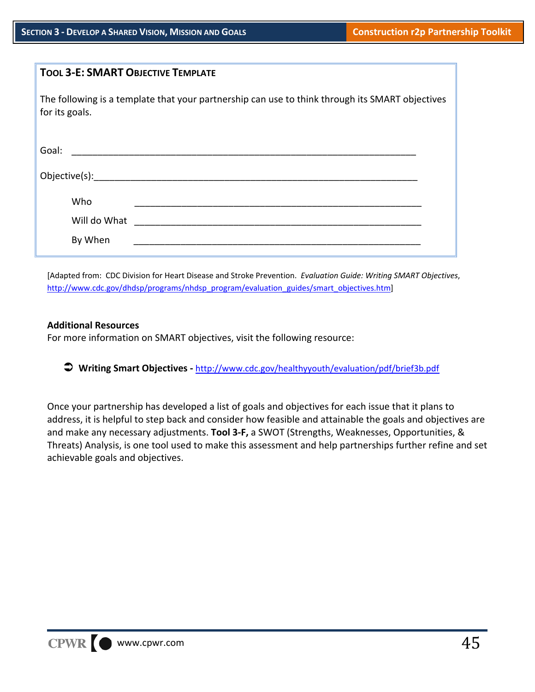| <b>TOOL 3-E: SMART OBJECTIVE TEMPLATE</b>                                                                         |  |
|-------------------------------------------------------------------------------------------------------------------|--|
| The following is a template that your partnership can use to think through its SMART objectives<br>for its goals. |  |
| Goal:<br><u> 1980 - Jan James James Barbara, mestrala propinsi politik (</u>                                      |  |
| Objective(s):______________                                                                                       |  |
| Who                                                                                                               |  |
| Will do What<br>By When                                                                                           |  |
|                                                                                                                   |  |

[Adapted from: CDC Division for Heart Disease and Stroke Prevention. *Evaluation Guide: Writing SMART Objectives*, http://www.cdc.gov/dhdsp/programs/nhdsp\_program/evaluation\_guides/smart\_objectives.htm]

#### **Additional Resources**

For more information on SMART objectives, visit the following resource:

**Writing Smart Objectives ‐** http://www.cdc.gov/healthyyouth/evaluation/pdf/brief3b.pdf

Once your partnership has developed a list of goals and objectives for each issue that it plans to address, it is helpful to step back and consider how feasible and attainable the goals and objectives are and make any necessary adjustments. **Tool 3‐F,** a SWOT (Strengths, Weaknesses, Opportunities, & Threats) Analysis, is one tool used to make this assessment and help partnerships further refine and set achievable goals and objectives.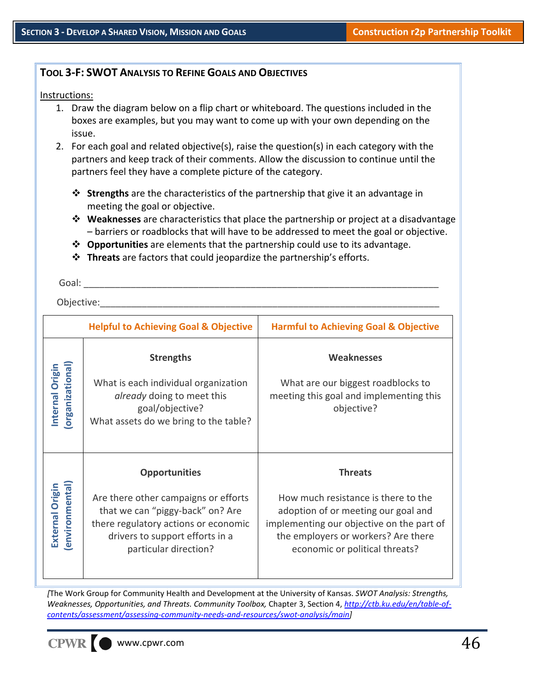#### **TOOL 3‐F: SWOT ANALYSIS TO REFINE GOALS AND OBJECTIVES**

Instructions:

- 1. Draw the diagram below on a flip chart or whiteboard. The questions included in the boxes are examples, but you may want to come up with your own depending on the issue.
- 2. For each goal and related objective(s), raise the question(s) in each category with the partners and keep track of their comments. Allow the discussion to continue until the partners feel they have a complete picture of the category.
	- **Strengths** are the characteristics of the partnership that give it an advantage in meeting the goal or objective.
	- **Weaknesses** are characteristics that place the partnership or project at a disadvantage – barriers or roadblocks that will have to be addressed to meet the goal or objective.
	- **Opportunities** are elements that the partnership could use to its advantage.
	- **Threats** are factors that could jeopardize the partnership's efforts.

Goal: **with a computer** 

Objective:

|                                          | <b>Helpful to Achieving Goal &amp; Objective</b>                                                                                                                                                     | <b>Harmful to Achieving Goal &amp; Objective</b>                                                                                                                                                                   |
|------------------------------------------|------------------------------------------------------------------------------------------------------------------------------------------------------------------------------------------------------|--------------------------------------------------------------------------------------------------------------------------------------------------------------------------------------------------------------------|
| <b>Organizational</b><br>Internal Origin | <b>Strengths</b><br>What is each individual organization<br><i>already</i> doing to meet this<br>goal/objective?<br>What assets do we bring to the table?                                            | <b>Weaknesses</b><br>What are our biggest roadblocks to<br>meeting this goal and implementing this<br>objective?                                                                                                   |
| environmental<br>External Origin         | <b>Opportunities</b><br>Are there other campaigns or efforts<br>that we can "piggy-back" on? Are<br>there regulatory actions or economic<br>drivers to support efforts in a<br>particular direction? | <b>Threats</b><br>How much resistance is there to the<br>adoption of or meeting our goal and<br>implementing our objective on the part of<br>the employers or workers? Are there<br>economic or political threats? |

*[*The Work Group for Community Health and Development at the University of Kansas. *SWOT Analysis: Strengths, Weaknesses, Opportunities, and Threats. Community Toolbox,* Chapter 3, Section 4, *http://ctb.ku.edu/en/table‐of‐ contents/assessment/assessing‐community‐needs‐and‐resources/swot‐analysis/main]*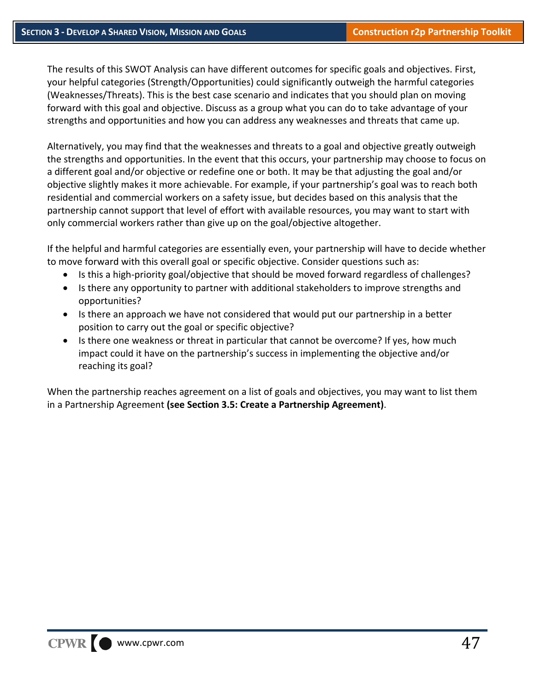The results of this SWOT Analysis can have different outcomes for specific goals and objectives. First, your helpful categories (Strength/Opportunities) could significantly outweigh the harmful categories (Weaknesses/Threats). This is the best case scenario and indicates that you should plan on moving forward with this goal and objective. Discuss as a group what you can do to take advantage of your strengths and opportunities and how you can address any weaknesses and threats that came up.

Alternatively, you may find that the weaknesses and threats to a goal and objective greatly outweigh the strengths and opportunities. In the event that this occurs, your partnership may choose to focus on a different goal and/or objective or redefine one or both. It may be that adjusting the goal and/or objective slightly makes it more achievable. For example, if your partnership's goal was to reach both residential and commercial workers on a safety issue, but decides based on this analysis that the partnership cannot support that level of effort with available resources, you may want to start with only commercial workers rather than give up on the goal/objective altogether.

If the helpful and harmful categories are essentially even, your partnership will have to decide whether to move forward with this overall goal or specific objective. Consider questions such as:

- Is this a high-priority goal/objective that should be moved forward regardless of challenges?
- Is there any opportunity to partner with additional stakeholders to improve strengths and opportunities?
- Is there an approach we have not considered that would put our partnership in a better position to carry out the goal or specific objective?
- Is there one weakness or threat in particular that cannot be overcome? If yes, how much impact could it have on the partnership's success in implementing the objective and/or reaching its goal?

When the partnership reaches agreement on a list of goals and objectives, you may want to list them in a Partnership Agreement **(see Section 3.5: Create a Partnership Agreement)**.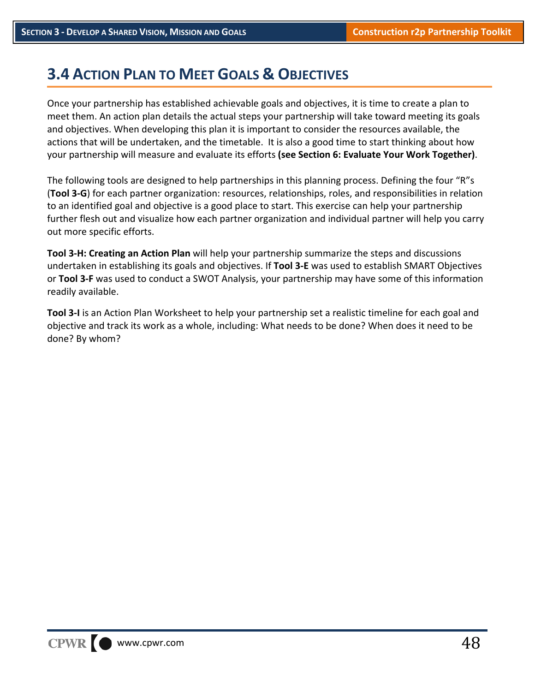### **3.4 ACTION PLAN TO MEET GOALS & OBJECTIVES**

Once your partnership has established achievable goals and objectives, it is time to create a plan to meet them. An action plan details the actual steps your partnership will take toward meeting its goals and objectives. When developing this plan it is important to consider the resources available, the actions that will be undertaken, and the timetable. It is also a good time to start thinking about how your partnership will measure and evaluate its efforts **(see Section 6: Evaluate Your Work Together)**.

The following tools are designed to help partnerships in this planning process. Defining the four "R"s (**Tool 3‐G**) for each partner organization: resources, relationships, roles, and responsibilities in relation to an identified goal and objective is a good place to start. This exercise can help your partnership further flesh out and visualize how each partner organization and individual partner will help you carry out more specific efforts.

**Tool 3‐H: Creating an Action Plan** will help your partnership summarize the steps and discussions undertaken in establishing its goals and objectives. If **Tool 3‐E** was used to establish SMART Objectives or **Tool 3‐F** was used to conduct a SWOT Analysis, your partnership may have some of this information readily available.

**Tool 3‐I** is an Action Plan Worksheet to help your partnership set a realistic timeline for each goal and objective and track its work as a whole, including: What needs to be done? When does it need to be done? By whom?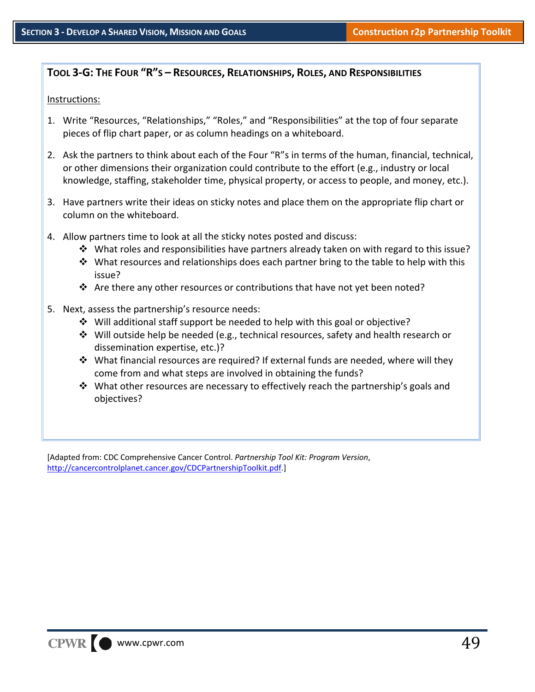#### **TOOL 3‐G: THE FOUR "R"S – RESOURCES, RELATIONSHIPS, ROLES, AND RESPONSIBILITIES**

#### Instructions:

- 1. Write "Resources, "Relationships," "Roles," and "Responsibilities" at the top of four separate pieces of flip chart paper, or as column headings on a whiteboard.
- 2. Ask the partners to think about each of the Four "R"s in terms of the human, financial, technical, or other dimensions their organization could contribute to the effort (e.g., industry or local knowledge, staffing, stakeholder time, physical property, or access to people, and money, etc.).
- 3. Have partners write their ideas on sticky notes and place them on the appropriate flip chart or column on the whiteboard.
- 4. Allow partners time to look at all the sticky notes posted and discuss:
	- What roles and responsibilities have partners already taken on with regard to this issue?
	- $\clubsuit$  What resources and relationships does each partner bring to the table to help with this issue?
	- \* Are there any other resources or contributions that have not yet been noted?
- 5. Next, assess the partnership's resource needs:
	- $\div$  Will additional staff support be needed to help with this goal or objective?
	- $\clubsuit$  Will outside help be needed (e.g., technical resources, safety and health research or dissemination expertise, etc.)?
	- What financial resources are required? If external funds are needed, where will they come from and what steps are involved in obtaining the funds?
	- $\cdot$  What other resources are necessary to effectively reach the partnership's goals and objectives?

[Adapted from: CDC Comprehensive Cancer Control. *Partnership Tool Kit: Program Version*, http://cancercontrolplanet.cancer.gov/CDCPartnershipToolkit.pdf.]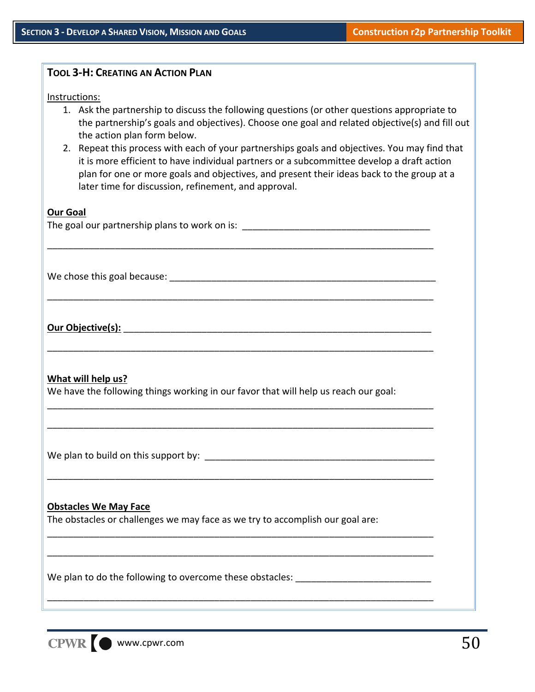| <b>TOOL 3-H: CREATING AN ACTION PLAN</b>                                                                                                                                                                                                                                                                                                                                                                                                                                                                                                                                                          |  |
|---------------------------------------------------------------------------------------------------------------------------------------------------------------------------------------------------------------------------------------------------------------------------------------------------------------------------------------------------------------------------------------------------------------------------------------------------------------------------------------------------------------------------------------------------------------------------------------------------|--|
| Instructions:<br>1. Ask the partnership to discuss the following questions (or other questions appropriate to<br>the partnership's goals and objectives). Choose one goal and related objective(s) and fill out<br>the action plan form below.<br>2. Repeat this process with each of your partnerships goals and objectives. You may find that<br>it is more efficient to have individual partners or a subcommittee develop a draft action<br>plan for one or more goals and objectives, and present their ideas back to the group at a<br>later time for discussion, refinement, and approval. |  |
| <b>Our Goal</b><br>The goal our partnership plans to work on is: __________________________________                                                                                                                                                                                                                                                                                                                                                                                                                                                                                               |  |
|                                                                                                                                                                                                                                                                                                                                                                                                                                                                                                                                                                                                   |  |
| Our Objective(s):                                                                                                                                                                                                                                                                                                                                                                                                                                                                                                                                                                                 |  |
| What will help us?<br>We have the following things working in our favor that will help us reach our goal:                                                                                                                                                                                                                                                                                                                                                                                                                                                                                         |  |
|                                                                                                                                                                                                                                                                                                                                                                                                                                                                                                                                                                                                   |  |
| <b>Obstacles We May Face</b><br>The obstacles or challenges we may face as we try to accomplish our goal are:                                                                                                                                                                                                                                                                                                                                                                                                                                                                                     |  |
| We plan to do the following to overcome these obstacles:<br>,我们也不能在这里的时候,我们也不能在这里的时候,我们也不能会在这里的时候,我们也不能会在这里的时候,我们也不能会在这里的时候,我们也不能会在这里的时候,我们也                                                                                                                                                                                                                                                                                                                                                                                                                                                      |  |

CPWR  $\bigcirc$  www.cpwr.com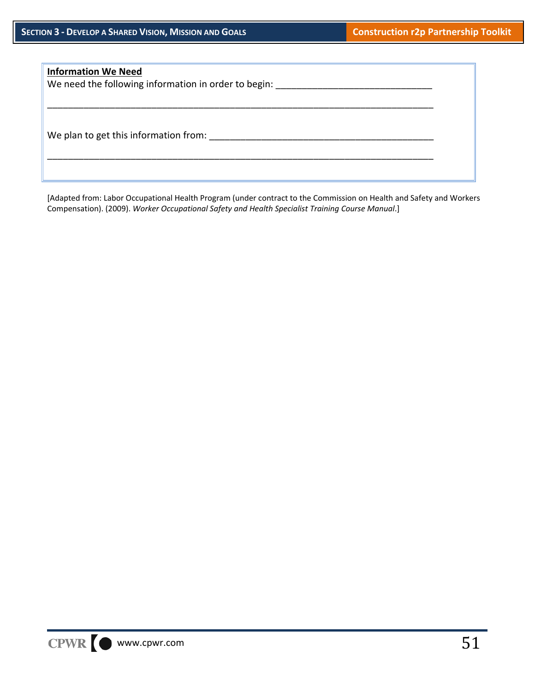## **Information We Need** We need the following information in order to begin: \_\_\_\_\_\_\_\_\_\_\_\_\_\_\_\_\_\_\_\_\_\_\_\_\_\_\_ \_\_\_\_\_\_\_\_\_\_\_\_\_\_\_\_\_\_\_\_\_\_\_\_\_\_\_\_\_\_\_\_\_\_\_\_\_\_\_\_\_\_\_\_\_\_\_\_\_\_\_\_\_\_\_\_\_\_\_\_\_\_\_\_\_\_\_\_\_\_\_\_\_\_ We plan to get this information from: \_\_\_\_\_\_\_\_\_\_\_\_\_\_\_\_\_\_\_\_\_\_\_\_\_\_\_\_\_\_\_\_\_\_\_\_\_\_\_\_\_\_\_ \_\_\_\_\_\_\_\_\_\_\_\_\_\_\_\_\_\_\_\_\_\_\_\_\_\_\_\_\_\_\_\_\_\_\_\_\_\_\_\_\_\_\_\_\_\_\_\_\_\_\_\_\_\_\_\_\_\_\_\_\_\_\_\_\_\_\_\_\_\_\_\_\_\_

[Adapted from: Labor Occupational Health Program (under contract to the Commission on Health and Safety and Workers Compensation). (2009). *Worker Occupational Safety and Health Specialist Training Course Manual*.]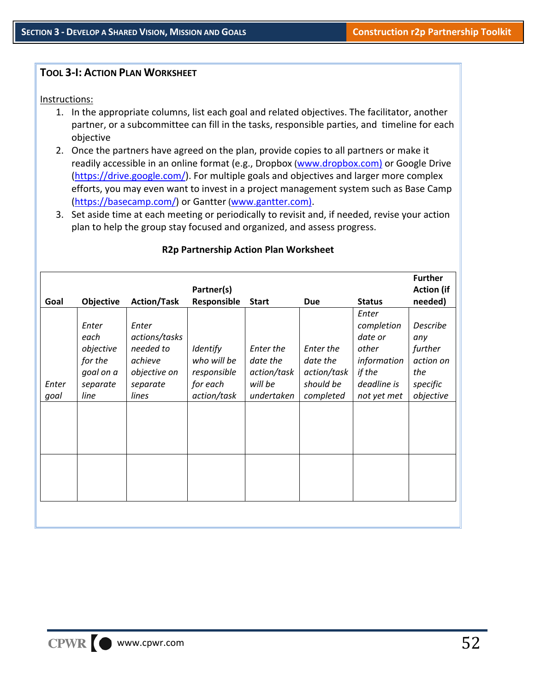#### **TOOL 3‐I: ACTION PLAN WORKSHEET**

Instructions:

- 1. In the appropriate columns, list each goal and related objectives. The facilitator, another partner, or a subcommittee can fill in the tasks, responsible parties, and timeline for each objective
- 2. Once the partners have agreed on the plan, provide copies to all partners or make it readily accessible in an online format (e.g., Dropbox (www.dropbox.com) or Google Drive (https://drive.google.com/). For multiple goals and objectives and larger more complex efforts, you may even want to invest in a project management system such as Base Camp (https://basecamp.com/) or Gantter (www.gantter.com).
- 3. Set aside time at each meeting or periodically to revisit and, if needed, revise your action plan to help the group stay focused and organized, and assess progress.

|       |                                                                |                                                                            | Partner(s)                                                |                                                 |                                                   |                                                                                 | <b>Further</b><br><b>Action</b> (if                        |
|-------|----------------------------------------------------------------|----------------------------------------------------------------------------|-----------------------------------------------------------|-------------------------------------------------|---------------------------------------------------|---------------------------------------------------------------------------------|------------------------------------------------------------|
| Goal  | <b>Objective</b>                                               | <b>Action/Task</b>                                                         | Responsible                                               | <b>Start</b>                                    | Due                                               | <b>Status</b>                                                                   | needed)                                                    |
| Enter | Enter<br>each<br>objective<br>for the<br>goal on a<br>separate | Enter<br>actions/tasks<br>needed to<br>achieve<br>objective on<br>separate | <b>Identify</b><br>who will be<br>responsible<br>for each | Enter the<br>date the<br>action/task<br>will be | Enter the<br>date the<br>action/task<br>should be | Enter<br>completion<br>date or<br>other<br>information<br>if the<br>deadline is | Describe<br>any<br>further<br>action on<br>the<br>specific |
| goal  | line                                                           | lines                                                                      | action/task                                               | undertaken                                      | completed                                         | not yet met                                                                     | objective                                                  |
|       |                                                                |                                                                            |                                                           |                                                 |                                                   |                                                                                 |                                                            |
|       |                                                                |                                                                            |                                                           |                                                 |                                                   |                                                                                 |                                                            |
|       |                                                                |                                                                            |                                                           |                                                 |                                                   |                                                                                 |                                                            |

#### **R2p Partnership Action Plan Worksheet**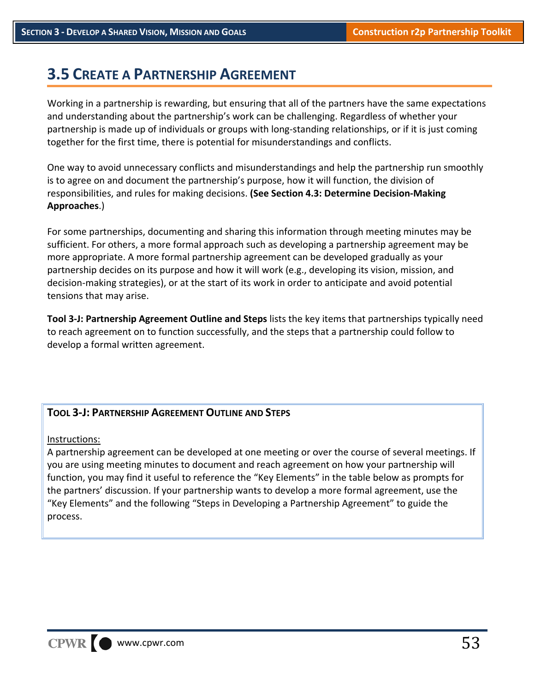### **3.5 CREATE A PARTNERSHIP AGREEMENT**

Working in a partnership is rewarding, but ensuring that all of the partners have the same expectations and understanding about the partnership's work can be challenging. Regardless of whether your partnership is made up of individuals or groups with long‐standing relationships, or if it is just coming together for the first time, there is potential for misunderstandings and conflicts.

One way to avoid unnecessary conflicts and misunderstandings and help the partnership run smoothly is to agree on and document the partnership's purpose, how it will function, the division of responsibilities, and rules for making decisions. **(See Section 4.3: Determine Decision‐Making Approaches**.)

For some partnerships, documenting and sharing this information through meeting minutes may be sufficient. For others, a more formal approach such as developing a partnership agreement may be more appropriate. A more formal partnership agreement can be developed gradually as your partnership decides on its purpose and how it will work (e.g., developing its vision, mission, and decision‐making strategies), or at the start of its work in order to anticipate and avoid potential tensions that may arise.

**Tool 3‐J: Partnership Agreement Outline and Steps** lists the key items that partnerships typically need to reach agreement on to function successfully, and the steps that a partnership could follow to develop a formal written agreement.

#### **TOOL 3‐J: PARTNERSHIP AGREEMENT OUTLINE AND STEPS**

Instructions:

A partnership agreement can be developed at one meeting or over the course of several meetings. If you are using meeting minutes to document and reach agreement on how your partnership will function, you may find it useful to reference the "Key Elements" in the table below as prompts for the partners' discussion. If your partnership wants to develop a more formal agreement, use the "Key Elements" and the following "Steps in Developing a Partnership Agreement" to guide the process.

CPWR www.cpwr.com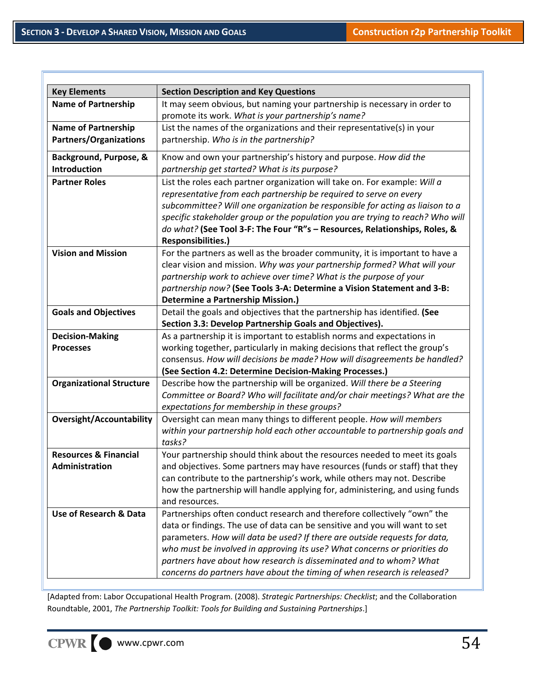| <b>Key Elements</b>              | <b>Section Description and Key Questions</b>                                                                                                            |
|----------------------------------|---------------------------------------------------------------------------------------------------------------------------------------------------------|
| <b>Name of Partnership</b>       | It may seem obvious, but naming your partnership is necessary in order to                                                                               |
|                                  | promote its work. What is your partnership's name?                                                                                                      |
| <b>Name of Partnership</b>       | List the names of the organizations and their representative(s) in your                                                                                 |
| <b>Partners/Organizations</b>    | partnership. Who is in the partnership?                                                                                                                 |
| Background, Purpose, &           | Know and own your partnership's history and purpose. How did the                                                                                        |
| <b>Introduction</b>              | partnership get started? What is its purpose?                                                                                                           |
| <b>Partner Roles</b>             | List the roles each partner organization will take on. For example: Will a                                                                              |
|                                  | representative from each partnership be required to serve on every                                                                                      |
|                                  | subcommittee? Will one organization be responsible for acting as liaison to a                                                                           |
|                                  | specific stakeholder group or the population you are trying to reach? Who will                                                                          |
|                                  | do what? (See Tool 3-F: The Four "R"s - Resources, Relationships, Roles, &                                                                              |
|                                  | Responsibilities.)                                                                                                                                      |
| <b>Vision and Mission</b>        | For the partners as well as the broader community, it is important to have a                                                                            |
|                                  | clear vision and mission. Why was your partnership formed? What will your                                                                               |
|                                  | partnership work to achieve over time? What is the purpose of your                                                                                      |
|                                  | partnership now? (See Tools 3-A: Determine a Vision Statement and 3-B:                                                                                  |
|                                  | <b>Determine a Partnership Mission.)</b>                                                                                                                |
| <b>Goals and Objectives</b>      | Detail the goals and objectives that the partnership has identified. (See                                                                               |
|                                  | Section 3.3: Develop Partnership Goals and Objectives).                                                                                                 |
| <b>Decision-Making</b>           | As a partnership it is important to establish norms and expectations in                                                                                 |
| <b>Processes</b>                 | working together, particularly in making decisions that reflect the group's                                                                             |
|                                  | consensus. How will decisions be made? How will disagreements be handled?                                                                               |
|                                  | (See Section 4.2: Determine Decision-Making Processes.)                                                                                                 |
| <b>Organizational Structure</b>  | Describe how the partnership will be organized. Will there be a Steering                                                                                |
|                                  | Committee or Board? Who will facilitate and/or chair meetings? What are the                                                                             |
|                                  | expectations for membership in these groups?                                                                                                            |
| <b>Oversight/Accountability</b>  | Oversight can mean many things to different people. How will members                                                                                    |
|                                  | within your partnership hold each other accountable to partnership goals and                                                                            |
|                                  | tasks?                                                                                                                                                  |
| <b>Resources &amp; Financial</b> | Your partnership should think about the resources needed to meet its goals                                                                              |
| <b>Administration</b>            | and objectives. Some partners may have resources (funds or staff) that they                                                                             |
|                                  | can contribute to the partnership's work, while others may not. Describe                                                                                |
|                                  | how the partnership will handle applying for, administering, and using funds                                                                            |
|                                  | and resources.                                                                                                                                          |
| Use of Research & Data           | Partnerships often conduct research and therefore collectively "own" the<br>data or findings. The use of data can be sensitive and you will want to set |
|                                  | parameters. How will data be used? If there are outside requests for data,                                                                              |
|                                  | who must be involved in approving its use? What concerns or priorities do                                                                               |
|                                  | partners have about how research is disseminated and to whom? What                                                                                      |
|                                  | concerns do partners have about the timing of when research is released?                                                                                |
|                                  |                                                                                                                                                         |

[Adapted from: Labor Occupational Health Program. (2008). *Strategic Partnerships: Checklist*; and the Collaboration Roundtable, 2001, *The Partnership Toolkit: Tools for Building and Sustaining Partnerships*.]